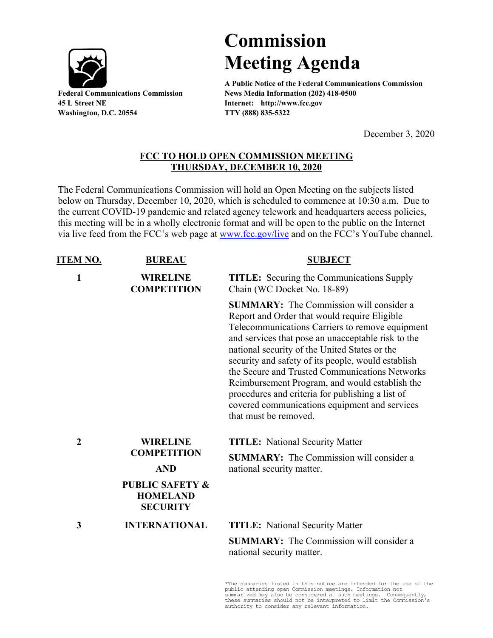

**45 L Street NE Internet: http://www.fcc.gov Washington, D.C. 20554 TTY (888) 835-5322**

## **Commission Meeting Agenda**

**A Public Notice of the Federal Communications Commission Federal Communications Commission News Media Information (202) 418-0500**

December 3, 2020

## **FCC TO HOLD OPEN COMMISSION MEETING THURSDAY, DECEMBER 10, 2020**

The Federal Communications Commission will hold an Open Meeting on the subjects listed below on Thursday, December 10, 2020, which is scheduled to commence at 10:30 a.m. Due to the current COVID-19 pandemic and related agency telework and headquarters access policies, this meeting will be in a wholly electronic format and will be open to the public on the Internet via live feed from the FCC's web page at [www.fcc.gov/live](http://www.fcc.gov/live) and on the FCC's YouTube channel.

| <u>ITEM NO.</u>  | <b>BUREAU</b>                                                    | <b>SUBJECT</b>                                                                                                                                                                                                                                                                                                                                                                                                                                                                                                                                   |
|------------------|------------------------------------------------------------------|--------------------------------------------------------------------------------------------------------------------------------------------------------------------------------------------------------------------------------------------------------------------------------------------------------------------------------------------------------------------------------------------------------------------------------------------------------------------------------------------------------------------------------------------------|
| $\mathbf{1}$     | <b>WIRELINE</b><br><b>COMPETITION</b>                            | <b>TITLE:</b> Securing the Communications Supply<br>Chain (WC Docket No. 18-89)                                                                                                                                                                                                                                                                                                                                                                                                                                                                  |
|                  |                                                                  | <b>SUMMARY:</b> The Commission will consider a<br>Report and Order that would require Eligible<br>Telecommunications Carriers to remove equipment<br>and services that pose an unacceptable risk to the<br>national security of the United States or the<br>security and safety of its people, would establish<br>the Secure and Trusted Communications Networks<br>Reimbursement Program, and would establish the<br>procedures and criteria for publishing a list of<br>covered communications equipment and services<br>that must be removed. |
| $\boldsymbol{2}$ | <b>WIRELINE</b><br><b>COMPETITION</b>                            | <b>TITLE:</b> National Security Matter                                                                                                                                                                                                                                                                                                                                                                                                                                                                                                           |
|                  | <b>AND</b>                                                       | <b>SUMMARY:</b> The Commission will consider a<br>national security matter.                                                                                                                                                                                                                                                                                                                                                                                                                                                                      |
|                  | <b>PUBLIC SAFETY &amp;</b><br><b>HOMELAND</b><br><b>SECURITY</b> |                                                                                                                                                                                                                                                                                                                                                                                                                                                                                                                                                  |
| 3                | <b>INTERNATIONAL</b>                                             | <b>TITLE:</b> National Security Matter                                                                                                                                                                                                                                                                                                                                                                                                                                                                                                           |
|                  |                                                                  | <b>SUMMARY:</b> The Commission will consider a<br>national security matter.                                                                                                                                                                                                                                                                                                                                                                                                                                                                      |

\*The summaries listed in this notice are intended for the use of the public attending open Commission meetings. Information not summarized may also be considered at such meetings. Consequently, these summaries should not be interpreted to limit the Commission's authority to consider any relevant information.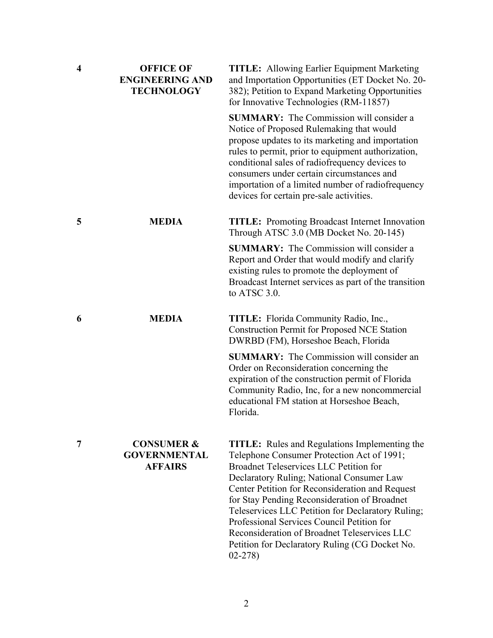| $\overline{\mathbf{4}}$ | <b>OFFICE OF</b><br><b>ENGINEERING AND</b><br><b>TECHNOLOGY</b> | <b>TITLE:</b> Allowing Earlier Equipment Marketing<br>and Importation Opportunities (ET Docket No. 20-<br>382); Petition to Expand Marketing Opportunities<br>for Innovative Technologies (RM-11857)                                                                                                                                                                                                                                                                                                                   |
|-------------------------|-----------------------------------------------------------------|------------------------------------------------------------------------------------------------------------------------------------------------------------------------------------------------------------------------------------------------------------------------------------------------------------------------------------------------------------------------------------------------------------------------------------------------------------------------------------------------------------------------|
|                         |                                                                 | <b>SUMMARY:</b> The Commission will consider a<br>Notice of Proposed Rulemaking that would<br>propose updates to its marketing and importation<br>rules to permit, prior to equipment authorization,<br>conditional sales of radiofrequency devices to<br>consumers under certain circumstances and<br>importation of a limited number of radiofrequency<br>devices for certain pre-sale activities.                                                                                                                   |
| 5                       | <b>MEDIA</b>                                                    | <b>TITLE:</b> Promoting Broadcast Internet Innovation<br>Through ATSC 3.0 (MB Docket No. 20-145)                                                                                                                                                                                                                                                                                                                                                                                                                       |
|                         |                                                                 | <b>SUMMARY:</b> The Commission will consider a<br>Report and Order that would modify and clarify<br>existing rules to promote the deployment of<br>Broadcast Internet services as part of the transition<br>to ATSC 3.0.                                                                                                                                                                                                                                                                                               |
| 6                       | <b>MEDIA</b>                                                    | <b>TITLE:</b> Florida Community Radio, Inc.,<br><b>Construction Permit for Proposed NCE Station</b><br>DWRBD (FM), Horseshoe Beach, Florida                                                                                                                                                                                                                                                                                                                                                                            |
|                         |                                                                 | <b>SUMMARY:</b> The Commission will consider an<br>Order on Reconsideration concerning the<br>expiration of the construction permit of Florida<br>Community Radio, Inc, for a new noncommercial<br>educational FM station at Horseshoe Beach,<br>Florida.                                                                                                                                                                                                                                                              |
| 7                       | <b>CONSUMER &amp;</b><br><b>GOVERNMENTAL</b><br><b>AFFAIRS</b>  | <b>TITLE:</b> Rules and Regulations Implementing the<br>Telephone Consumer Protection Act of 1991;<br><b>Broadnet Teleservices LLC Petition for</b><br>Declaratory Ruling; National Consumer Law<br>Center Petition for Reconsideration and Request<br>for Stay Pending Reconsideration of Broadnet<br>Teleservices LLC Petition for Declaratory Ruling;<br>Professional Services Council Petition for<br>Reconsideration of Broadnet Teleservices LLC<br>Petition for Declaratory Ruling (CG Docket No.<br>$02 - 278$ |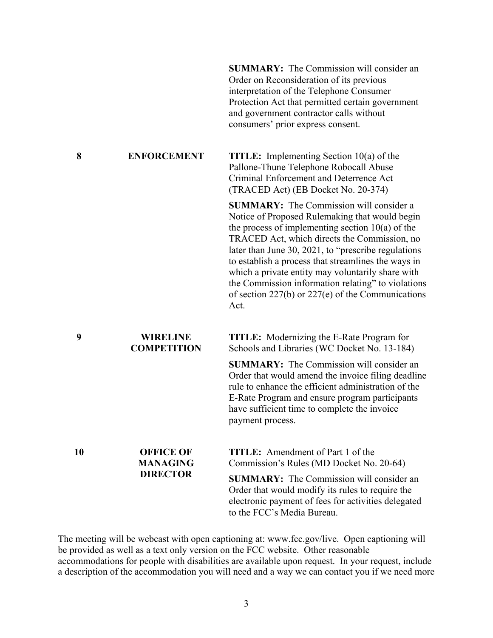**SUMMARY:** The Commission will consider an Order on Reconsideration of its previous interpretation of the Telephone Consumer Protection Act that permitted certain government and government contractor calls without consumers' prior express consent.

**8 ENFORCEMENT TITLE:** Implementing Section 10(a) of the Pallone-Thune Telephone Robocall Abuse Criminal Enforcement and Deterrence Act (TRACED Act) (EB Docket No. 20-374)

> **SUMMARY:** The Commission will consider a Notice of Proposed Rulemaking that would begin the process of implementing section  $10(a)$  of the TRACED Act, which directs the Commission, no later than June 30, 2021, to "prescribe regulations to establish a process that streamlines the ways in which a private entity may voluntarily share with the Commission information relating" to violations of section 227(b) or 227(e) of the Communications Act.

**9 WIRELINE COMPETITION TITLE:** Modernizing the E-Rate Program for Schools and Libraries (WC Docket No. 13-184)

> **SUMMARY:** The Commission will consider an Order that would amend the invoice filing deadline rule to enhance the efficient administration of the E-Rate Program and ensure program participants have sufficient time to complete the invoice payment process.

**10 OFFICE OF** 

**MANAGING DIRECTOR**

**TITLE:** Amendment of Part 1 of the Commission's Rules (MD Docket No. 20-64)

**SUMMARY:** The Commission will consider an Order that would modify its rules to require the electronic payment of fees for activities delegated to the FCC's Media Bureau.

The meeting will be webcast with open captioning at: www.fcc.gov/live. Open captioning will be provided as well as a text only version on the FCC website. Other reasonable accommodations for people with disabilities are available upon request. In your request, include a description of the accommodation you will need and a way we can contact you if we need more